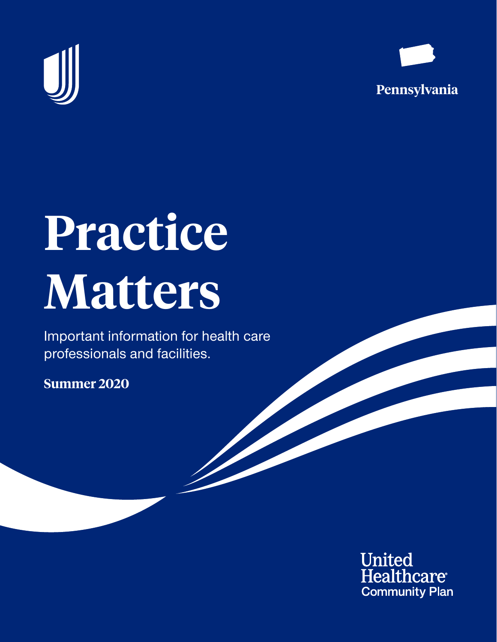



# **Practice Matters**

Important information for health care professionals and facilities.

**Summer 2020**

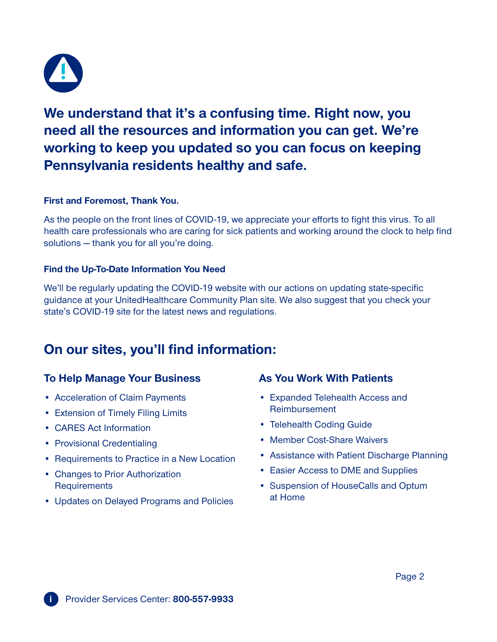

**We understand that it's a confusing time. Right now, you need all the resources and information you can get. We're working to keep you updated so you can focus on keeping Pennsylvania residents healthy and safe.**

#### **First and Foremost, Thank You.**

As the people on the front lines of COVID-19, we appreciate your efforts to fight this virus. To all health care professionals who are caring for sick patients and working around the clock to help find solutions — thank you for all you're doing.

### **Find the Up-To-Date Information You Need**

We'll be regularly updating the COVID-19 website with our actions on updating state-specific guidance at your UnitedHealthcare Community Plan site. We also suggest that you check your state's COVID-19 site for the latest news and regulations.

## **On our sites, you'll find information:**

## **To Help Manage Your Business**

- Acceleration of Claim Payments
- Extension of Timely Filing Limits
- CARES Act Information
- Provisional Credentialing
- Requirements to Practice in a New Location
- Changes to Prior Authorization **Requirements**
- Updates on Delayed Programs and Policies

## **As You Work With Patients**

- Expanded Telehealth Access and Reimbursement
- Telehealth Coding Guide
- Member Cost-Share Waivers
- Assistance with Patient Discharge Planning
- Easier Access to DME and Supplies
- Suspension of HouseCalls and Optum at Home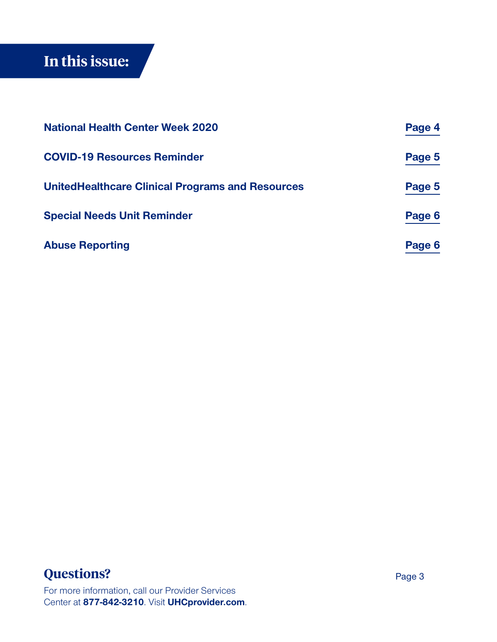# <span id="page-2-0"></span>**In this issue:**

| <b>National Health Center Week 2020</b>                                                                                             | Page 4                 |
|-------------------------------------------------------------------------------------------------------------------------------------|------------------------|
| <b>COVID-19 Resources Reminder</b><br><b>UnitedHealthcare Clinical Programs and Resources</b><br><b>Special Needs Unit Reminder</b> | Page 5<br>Page 5       |
|                                                                                                                                     |                        |
|                                                                                                                                     | <b>Abuse Reporting</b> |

## **Questions?**

For more information, call our Provider Services Center at **877-842-3210**. Visit **[UHCprovider.com](http://UHCprovider.com)**.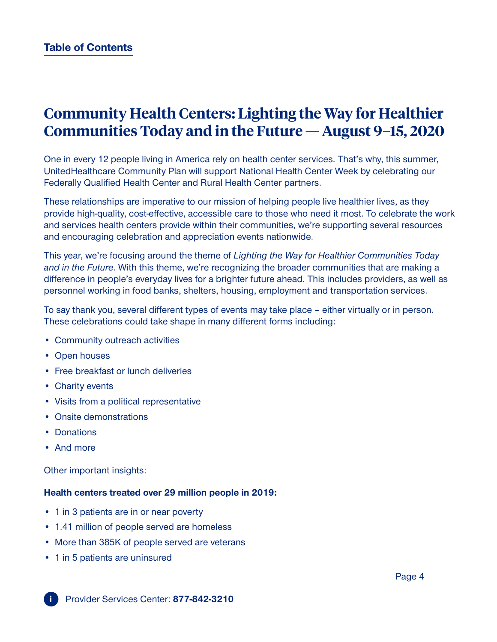# <span id="page-3-0"></span>**Community Health Centers: Lighting the Way for Healthier Communities Today and in the Future — August 9–15, 2020**

One in every 12 people living in America rely on health center services. That's why, this summer, UnitedHealthcare Community Plan will support National Health Center Week by celebrating our Federally Qualified Health Center and Rural Health Center partners.

These relationships are imperative to our mission of helping people live healthier lives, as they provide high-quality, cost-effective, accessible care to those who need it most. To celebrate the work and services health centers provide within their communities, we're supporting several resources and encouraging celebration and appreciation events nationwide.

This year, we're focusing around the theme of *Lighting the Way for Healthier Communities Today and in the Future*. With this theme, we're recognizing the broader communities that are making a difference in people's everyday lives for a brighter future ahead. This includes providers, as well as personnel working in food banks, shelters, housing, employment and transportation services.

To say thank you, several different types of events may take place – either virtually or in person. These celebrations could take shape in many different forms including:

- Community outreach activities
- Open houses
- Free breakfast or lunch deliveries
- Charity events
- Visits from a political representative
- Onsite demonstrations
- Donations
- And more

**i**

Other important insights:

#### **Health centers treated over 29 million people in 2019:**

- 1 in 3 patients are in or near poverty
- 1.41 million of people served are homeless
- More than 385K of people served are veterans
- 1 in 5 patients are uninsured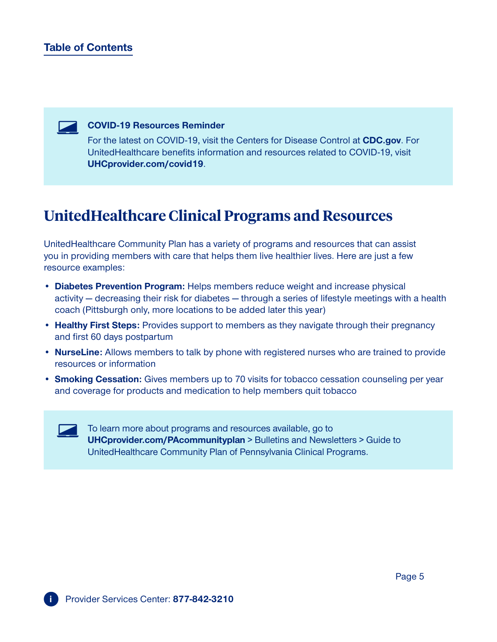## <span id="page-4-0"></span>**[Table of Contents](#page-2-0)**



#### **COVID-19 Resources Reminder**

For the latest on COVID-19, visit the Centers for Disease Control at **[CDC.gov](http://CDC.gov)**. For UnitedHealthcare benefits information and resources related to COVID-19, visit **[UHCprovider.com/covid19](http://UHCprovider.com/covid19)**.

## **UnitedHealthcare Clinical Programs and Resources**

UnitedHealthcare Community Plan has a variety of programs and resources that can assist you in providing members with care that helps them live healthier lives. Here are just a few resource examples:

- **• Diabetes Prevention Program:** Helps members reduce weight and increase physical activity — decreasing their risk for diabetes — through a series of lifestyle meetings with a health coach (Pittsburgh only, more locations to be added later this year)
- **• Healthy First Steps:** Provides support to members as they navigate through their pregnancy and first 60 days postpartum
- **• NurseLine:** Allows members to talk by phone with registered nurses who are trained to provide resources or information
- **• Smoking Cessation:** Gives members up to 70 visits for tobacco cessation counseling per year and coverage for products and medication to help members quit tobacco



To learn more about programs and resources available, go to **[UHCprovider.com/PAcommunityplan](http://UHCprovider.com/PAcommunityplan)** > Bulletins and Newsletters > Guide to UnitedHealthcare Community Plan of Pennsylvania Clinical Programs.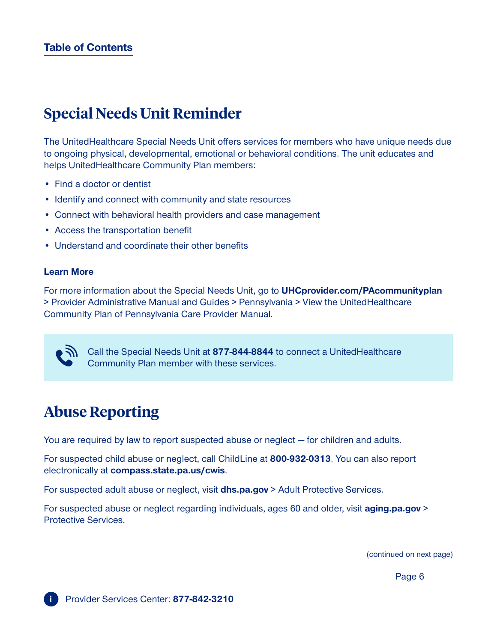# <span id="page-5-0"></span>**Special Needs Unit Reminder**

The UnitedHealthcare Special Needs Unit offers services for members who have unique needs due to ongoing physical, developmental, emotional or behavioral conditions. The unit educates and helps UnitedHealthcare Community Plan members:

- Find a doctor or dentist
- Identify and connect with community and state resources
- Connect with behavioral health providers and case management
- Access the transportation benefit
- Understand and coordinate their other benefits

#### **Learn More**

For more information about the Special Needs Unit, go to **[UHCprovider.com/PAcommunityplan](http://UHCprovider.com/PAcommunityplan)** > Provider Administrative Manual and Guides > Pennsylvania > View the UnitedHealthcare Community Plan of Pennsylvania Care Provider Manual.

**Call the Special Needs Unit at 877-844-8844** to connect a UnitedHealthcare Community Plan member with these services.

# **Abuse Reporting**

You are required by law to report suspected abuse or neglect — for children and adults.

For suspected child abuse or neglect, call ChildLine at **800-932-0313**. You can also report electronically at **[compass.state.pa.us/cwis](http://compass.state.pa.us/cwis)**.

For suspected adult abuse or neglect, visit **[dhs.pa.gov](https://www.dhs.pa.gov/Pages/default.aspx)** > Adult Protective Services.

For suspected abuse or neglect regarding individuals, ages 60 and older, visit **[aging.pa.gov](https://www.aging.pa.gov/)** > Protective Services.

(continued on next page)

Page 6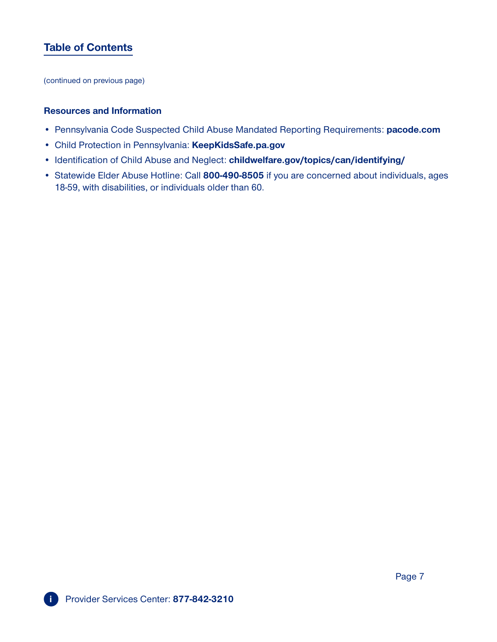## **[Table of Contents](#page-2-0)**

(continued on previous page)

#### **Resources and Information**

- Pennsylvania Code Suspected Child Abuse Mandated Reporting Requirements: **[pacode.com](http://www.pacodeandbulletin.gov/)**
- Child Protection in Pennsylvania: **[KeepKidsSafe.pa.gov](http://keepkidssafe.pa.gov/)**
- Identification of Child Abuse and Neglect: **[childwelfare.gov/topics/can/identifying/](https://www.childwelfare.gov/topics/can/identifying/)**
- Statewide Elder Abuse Hotline: Call **800-490-8505** if you are concerned about individuals, ages 18-59, with disabilities, or individuals older than 60.

Page 7